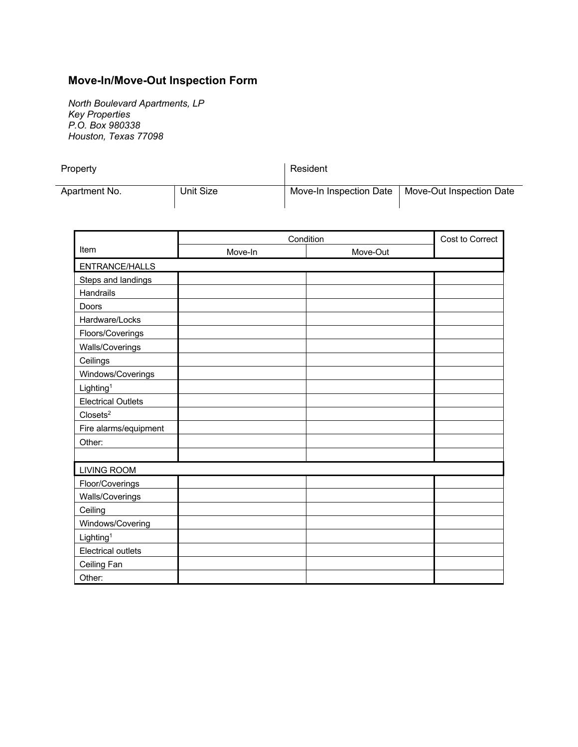## **Move-In/Move-Out Inspection Form**

*North Boulevard Apartments, LP Key Properties P.O. Box 980338 Houston, Texas 77098*

| Property      |           | Resident                |                          |  |
|---------------|-----------|-------------------------|--------------------------|--|
| Apartment No. | Unit Size | Move-In Inspection Date | Move-Out Inspection Date |  |

|                           | Condition |          | Cost to Correct |
|---------------------------|-----------|----------|-----------------|
| Item                      | Move-In   | Move-Out |                 |
| <b>ENTRANCE/HALLS</b>     |           |          |                 |
| Steps and landings        |           |          |                 |
| Handrails                 |           |          |                 |
| Doors                     |           |          |                 |
| Hardware/Locks            |           |          |                 |
| Floors/Coverings          |           |          |                 |
| Walls/Coverings           |           |          |                 |
| Ceilings                  |           |          |                 |
| Windows/Coverings         |           |          |                 |
| Lighting <sup>1</sup>     |           |          |                 |
| <b>Electrical Outlets</b> |           |          |                 |
| Closets <sup>2</sup>      |           |          |                 |
| Fire alarms/equipment     |           |          |                 |
| Other:                    |           |          |                 |
|                           |           |          |                 |
| <b>LIVING ROOM</b>        |           |          |                 |
| Floor/Coverings           |           |          |                 |
| Walls/Coverings           |           |          |                 |
| Ceiling                   |           |          |                 |
| Windows/Covering          |           |          |                 |
| Lighting <sup>1</sup>     |           |          |                 |
| <b>Electrical outlets</b> |           |          |                 |
| Ceiling Fan               |           |          |                 |
| Other:                    |           |          |                 |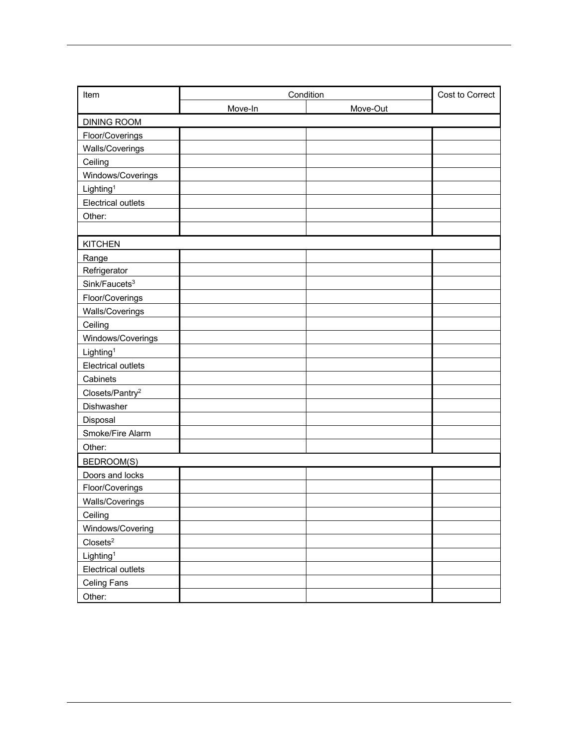| Item                        | Condition |          | Cost to Correct |
|-----------------------------|-----------|----------|-----------------|
|                             | Move-In   | Move-Out |                 |
| <b>DINING ROOM</b>          |           |          |                 |
| Floor/Coverings             |           |          |                 |
| Walls/Coverings             |           |          |                 |
| Ceiling                     |           |          |                 |
| Windows/Coverings           |           |          |                 |
| Lighting <sup>1</sup>       |           |          |                 |
| <b>Electrical outlets</b>   |           |          |                 |
| Other:                      |           |          |                 |
|                             |           |          |                 |
| <b>KITCHEN</b>              |           |          |                 |
| Range                       |           |          |                 |
| Refrigerator                |           |          |                 |
| Sink/Faucets <sup>3</sup>   |           |          |                 |
| Floor/Coverings             |           |          |                 |
| Walls/Coverings             |           |          |                 |
| Ceiling                     |           |          |                 |
| Windows/Coverings           |           |          |                 |
| Lighting <sup>1</sup>       |           |          |                 |
| <b>Electrical outlets</b>   |           |          |                 |
| Cabinets                    |           |          |                 |
| Closets/Pantry <sup>2</sup> |           |          |                 |
| Dishwasher                  |           |          |                 |
| Disposal                    |           |          |                 |
| Smoke/Fire Alarm            |           |          |                 |
| Other:                      |           |          |                 |
| <b>BEDROOM(S)</b>           |           |          |                 |
| Doors and locks             |           |          |                 |
| Floor/Coverings             |           |          |                 |
| Walls/Coverings             |           |          |                 |
| Ceiling                     |           |          |                 |
| Windows/Covering            |           |          |                 |
| $\text{Closets}^2$          |           |          |                 |
| Lighting <sup>1</sup>       |           |          |                 |
| Electrical outlets          |           |          |                 |
| <b>Celing Fans</b>          |           |          |                 |
| Other:                      |           |          |                 |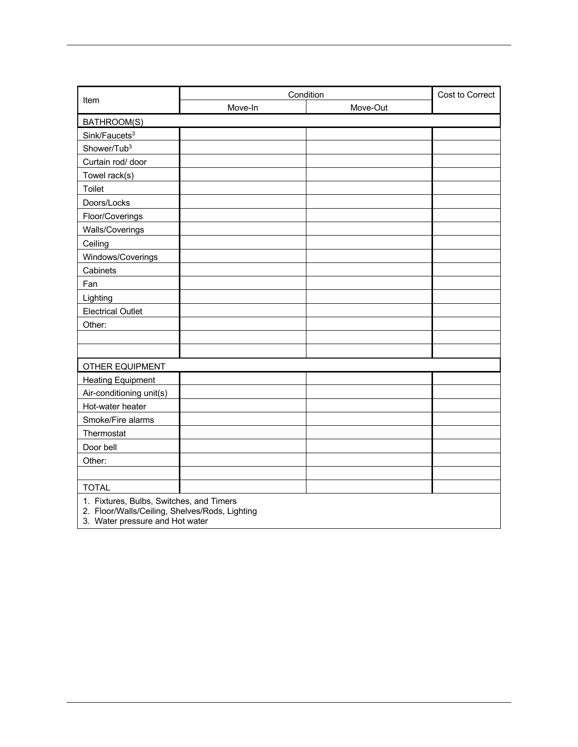|                                                                                                                               | Condition |          | Cost to Correct |
|-------------------------------------------------------------------------------------------------------------------------------|-----------|----------|-----------------|
| Item                                                                                                                          | Move-In   | Move-Out |                 |
| BATHROOM(S)                                                                                                                   |           |          |                 |
| Sink/Faucets <sup>3</sup>                                                                                                     |           |          |                 |
| Shower/Tub <sup>3</sup>                                                                                                       |           |          |                 |
| Curtain rod/ door                                                                                                             |           |          |                 |
| Towel rack(s)                                                                                                                 |           |          |                 |
| Toilet                                                                                                                        |           |          |                 |
| Doors/Locks                                                                                                                   |           |          |                 |
| Floor/Coverings                                                                                                               |           |          |                 |
| Walls/Coverings                                                                                                               |           |          |                 |
| Ceiling                                                                                                                       |           |          |                 |
| Windows/Coverings                                                                                                             |           |          |                 |
| Cabinets                                                                                                                      |           |          |                 |
| Fan                                                                                                                           |           |          |                 |
| Lighting                                                                                                                      |           |          |                 |
| <b>Electrical Outlet</b>                                                                                                      |           |          |                 |
| Other:                                                                                                                        |           |          |                 |
|                                                                                                                               |           |          |                 |
|                                                                                                                               |           |          |                 |
| <b>OTHER EQUIPMENT</b>                                                                                                        |           |          |                 |
| <b>Heating Equipment</b>                                                                                                      |           |          |                 |
| Air-conditioning unit(s)                                                                                                      |           |          |                 |
| Hot-water heater                                                                                                              |           |          |                 |
| Smoke/Fire alarms                                                                                                             |           |          |                 |
| Thermostat                                                                                                                    |           |          |                 |
| Door bell                                                                                                                     |           |          |                 |
| Other:                                                                                                                        |           |          |                 |
|                                                                                                                               |           |          |                 |
| <b>TOTAL</b>                                                                                                                  |           |          |                 |
| 1. Fixtures, Bulbs, Switches, and Timers<br>2. Floor/Walls/Ceiling, Shelves/Rods, Lighting<br>3. Water pressure and Hot water |           |          |                 |

 $\overline{\phantom{a}}$